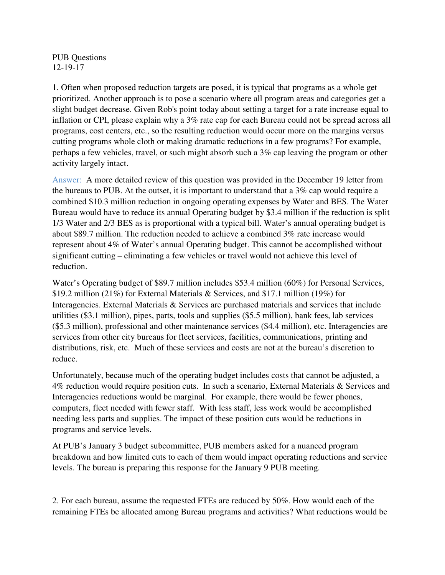PUB Questions 12-19-17

1. Often when proposed reduction targets are posed, it is typical that programs as a whole get prioritized. Another approach is to pose a scenario where all program areas and categories get a slight budget decrease. Given Rob's point today about setting a target for a rate increase equal to inflation or CPI, please explain why a 3% rate cap for each Bureau could not be spread across all programs, cost centers, etc., so the resulting reduction would occur more on the margins versus cutting programs whole cloth or making dramatic reductions in a few programs? For example, perhaps a few vehicles, travel, or such might absorb such a 3% cap leaving the program or other activity largely intact.

Answer: A more detailed review of this question was provided in the December 19 letter from the bureaus to PUB. At the outset, it is important to understand that a 3% cap would require a combined \$10.3 million reduction in ongoing operating expenses by Water and BES. The Water Bureau would have to reduce its annual Operating budget by \$3.4 million if the reduction is split 1/3 Water and 2/3 BES as is proportional with a typical bill. Water's annual operating budget is about \$89.7 million. The reduction needed to achieve a combined 3% rate increase would represent about 4% of Water's annual Operating budget. This cannot be accomplished without significant cutting – eliminating a few vehicles or travel would not achieve this level of reduction.

Water's Operating budget of \$89.7 million includes \$53.4 million (60%) for Personal Services, \$19.2 million (21%) for External Materials & Services, and \$17.1 million (19%) for Interagencies. External Materials & Services are purchased materials and services that include utilities (\$3.1 million), pipes, parts, tools and supplies (\$5.5 million), bank fees, lab services (\$5.3 million), professional and other maintenance services (\$4.4 million), etc. Interagencies are services from other city bureaus for fleet services, facilities, communications, printing and distributions, risk, etc. Much of these services and costs are not at the bureau's discretion to reduce.

Unfortunately, because much of the operating budget includes costs that cannot be adjusted, a 4% reduction would require position cuts. In such a scenario, External Materials & Services and Interagencies reductions would be marginal. For example, there would be fewer phones, computers, fleet needed with fewer staff. With less staff, less work would be accomplished needing less parts and supplies. The impact of these position cuts would be reductions in programs and service levels.

At PUB's January 3 budget subcommittee, PUB members asked for a nuanced program breakdown and how limited cuts to each of them would impact operating reductions and service levels. The bureau is preparing this response for the January 9 PUB meeting.

2. For each bureau, assume the requested FTEs are reduced by 50%. How would each of the remaining FTEs be allocated among Bureau programs and activities? What reductions would be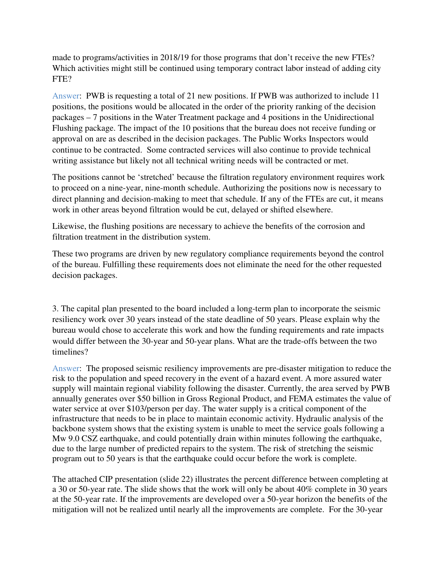made to programs/activities in 2018/19 for those programs that don't receive the new FTEs? Which activities might still be continued using temporary contract labor instead of adding city FTE?

Answer: PWB is requesting a total of 21 new positions. If PWB was authorized to include 11 positions, the positions would be allocated in the order of the priority ranking of the decision packages – 7 positions in the Water Treatment package and 4 positions in the Unidirectional Flushing package. The impact of the 10 positions that the bureau does not receive funding or approval on are as described in the decision packages. The Public Works Inspectors would continue to be contracted. Some contracted services will also continue to provide technical writing assistance but likely not all technical writing needs will be contracted or met.

The positions cannot be 'stretched' because the filtration regulatory environment requires work to proceed on a nine-year, nine-month schedule. Authorizing the positions now is necessary to direct planning and decision-making to meet that schedule. If any of the FTEs are cut, it means work in other areas beyond filtration would be cut, delayed or shifted elsewhere.

Likewise, the flushing positions are necessary to achieve the benefits of the corrosion and filtration treatment in the distribution system.

These two programs are driven by new regulatory compliance requirements beyond the control of the bureau. Fulfilling these requirements does not eliminate the need for the other requested decision packages.

3. The capital plan presented to the board included a long-term plan to incorporate the seismic resiliency work over 30 years instead of the state deadline of 50 years. Please explain why the bureau would chose to accelerate this work and how the funding requirements and rate impacts would differ between the 30-year and 50-year plans. What are the trade-offs between the two timelines?

Answer: The proposed seismic resiliency improvements are pre-disaster mitigation to reduce the risk to the population and speed recovery in the event of a hazard event. A more assured water supply will maintain regional viability following the disaster. Currently, the area served by PWB annually generates over \$50 billion in Gross Regional Product, and FEMA estimates the value of water service at over \$103/person per day. The water supply is a critical component of the infrastructure that needs to be in place to maintain economic activity. Hydraulic analysis of the backbone system shows that the existing system is unable to meet the service goals following a Mw 9.0 CSZ earthquake, and could potentially drain within minutes following the earthquake, due to the large number of predicted repairs to the system. The risk of stretching the seismic program out to 50 years is that the earthquake could occur before the work is complete.

The attached CIP presentation (slide 22) illustrates the percent difference between completing at a 30 or 50-year rate. The slide shows that the work will only be about 40% complete in 30 years at the 50-year rate. If the improvements are developed over a 50-year horizon the benefits of the mitigation will not be realized until nearly all the improvements are complete. For the 30-year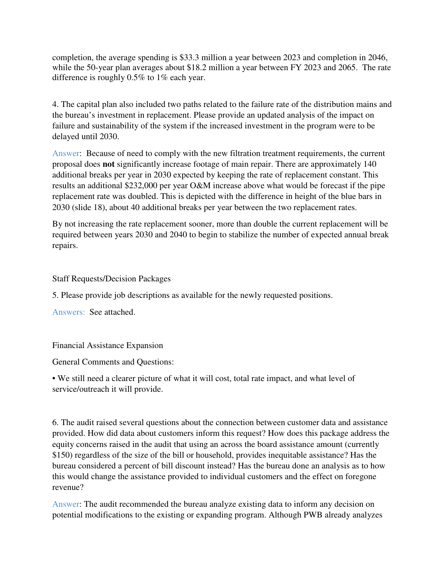completion, the average spending is \$33.3 million a year between 2023 and completion in 2046, while the 50-year plan averages about \$18.2 million a year between FY 2023 and 2065. The rate difference is roughly 0.5% to 1% each year.

4. The capital plan also included two paths related to the failure rate of the distribution mains and the bureau's investment in replacement. Please provide an updated analysis of the impact on failure and sustainability of the system if the increased investment in the program were to be delayed until 2030.

Answer: Because of need to comply with the new filtration treatment requirements, the current proposal does **not** significantly increase footage of main repair. There are approximately 140 additional breaks per year in 2030 expected by keeping the rate of replacement constant. This results an additional \$232,000 per year O&M increase above what would be forecast if the pipe replacement rate was doubled. This is depicted with the difference in height of the blue bars in 2030 (slide 18), about 40 additional breaks per year between the two replacement rates.

By not increasing the rate replacement sooner, more than double the current replacement will be required between years 2030 and 2040 to begin to stabilize the number of expected annual break repairs.

Staff Requests/Decision Packages

5. Please provide job descriptions as available for the newly requested positions.

Answers: See attached.

Financial Assistance Expansion

General Comments and Questions:

• We still need a clearer picture of what it will cost, total rate impact, and what level of service/outreach it will provide.

6. The audit raised several questions about the connection between customer data and assistance provided. How did data about customers inform this request? How does this package address the equity concerns raised in the audit that using an across the board assistance amount (currently \$150) regardless of the size of the bill or household, provides inequitable assistance? Has the bureau considered a percent of bill discount instead? Has the bureau done an analysis as to how this would change the assistance provided to individual customers and the effect on foregone revenue?

Answer: The audit recommended the bureau analyze existing data to inform any decision on potential modifications to the existing or expanding program. Although PWB already analyzes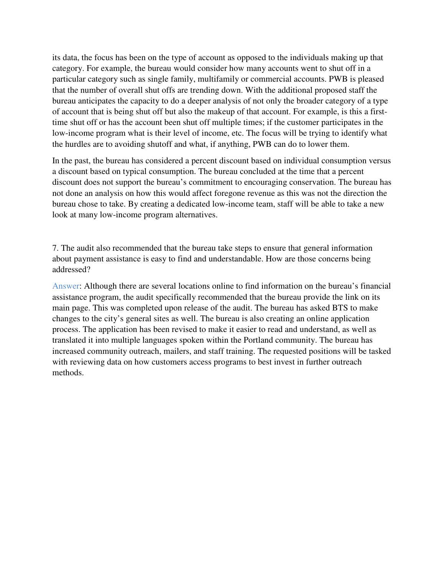its data, the focus has been on the type of account as opposed to the individuals making up that category. For example, the bureau would consider how many accounts went to shut off in a particular category such as single family, multifamily or commercial accounts. PWB is pleased that the number of overall shut offs are trending down. With the additional proposed staff the bureau anticipates the capacity to do a deeper analysis of not only the broader category of a type of account that is being shut off but also the makeup of that account. For example, is this a firsttime shut off or has the account been shut off multiple times; if the customer participates in the low-income program what is their level of income, etc. The focus will be trying to identify what the hurdles are to avoiding shutoff and what, if anything, PWB can do to lower them.

In the past, the bureau has considered a percent discount based on individual consumption versus a discount based on typical consumption. The bureau concluded at the time that a percent discount does not support the bureau's commitment to encouraging conservation. The bureau has not done an analysis on how this would affect foregone revenue as this was not the direction the bureau chose to take. By creating a dedicated low-income team, staff will be able to take a new look at many low-income program alternatives.

7. The audit also recommended that the bureau take steps to ensure that general information about payment assistance is easy to find and understandable. How are those concerns being addressed?

Answer: Although there are several locations online to find information on the bureau's financial assistance program, the audit specifically recommended that the bureau provide the link on its main page. This was completed upon release of the audit. The bureau has asked BTS to make changes to the city's general sites as well. The bureau is also creating an online application process. The application has been revised to make it easier to read and understand, as well as translated it into multiple languages spoken within the Portland community. The bureau has increased community outreach, mailers, and staff training. The requested positions will be tasked with reviewing data on how customers access programs to best invest in further outreach methods.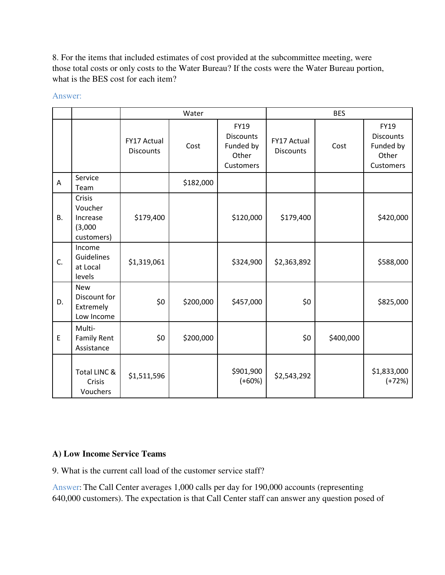8. For the items that included estimates of cost provided at the subcommittee meeting, were those total costs or only costs to the Water Bureau? If the costs were the Water Bureau portion, what is the BES cost for each item?

|                |                                                        | Water                           |           |                                                             | <b>BES</b>                      |           |                                                                    |
|----------------|--------------------------------------------------------|---------------------------------|-----------|-------------------------------------------------------------|---------------------------------|-----------|--------------------------------------------------------------------|
|                |                                                        | FY17 Actual<br><b>Discounts</b> | Cost      | FY19<br><b>Discounts</b><br>Funded by<br>Other<br>Customers | FY17 Actual<br><b>Discounts</b> | Cost      | <b>FY19</b><br><b>Discounts</b><br>Funded by<br>Other<br>Customers |
| $\overline{A}$ | Service<br>Team                                        |                                 | \$182,000 |                                                             |                                 |           |                                                                    |
| <b>B.</b>      | Crisis<br>Voucher<br>Increase<br>(3,000)<br>customers) | \$179,400                       |           | \$120,000                                                   | \$179,400                       |           | \$420,000                                                          |
| C.             | Income<br><b>Guidelines</b><br>at Local<br>levels      | \$1,319,061                     |           | \$324,900                                                   | \$2,363,892                     |           | \$588,000                                                          |
| D.             | <b>New</b><br>Discount for<br>Extremely<br>Low Income  | \$0                             | \$200,000 | \$457,000                                                   | \$0                             |           | \$825,000                                                          |
| E              | Multi-<br><b>Family Rent</b><br>Assistance             | \$0                             | \$200,000 |                                                             | \$0                             | \$400,000 |                                                                    |
|                | Total LINC &<br>Crisis<br>Vouchers                     | \$1,511,596                     |           | \$901,900<br>$(+60%)$                                       | \$2,543,292                     |           | \$1,833,000<br>$(+72%)$                                            |

Answer:

# **A) Low Income Service Teams**

9. What is the current call load of the customer service staff?

Answer: The Call Center averages 1,000 calls per day for 190,000 accounts (representing 640,000 customers). The expectation is that Call Center staff can answer any question posed of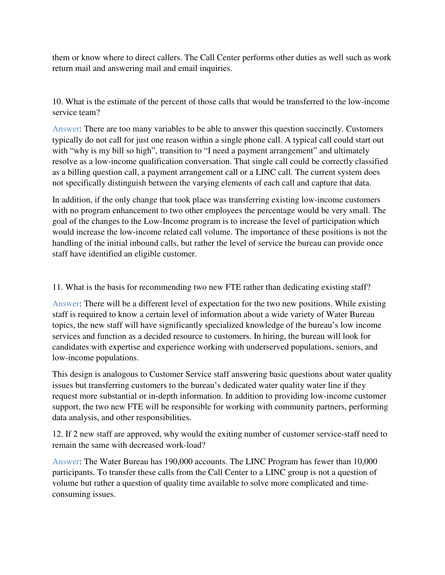them or know where to direct callers. The Call Center performs other duties as well such as work return mail and answering mail and email inquiries.

10. What is the estimate of the percent of those calls that would be transferred to the low-income service team?

Answer: There are too many variables to be able to answer this question succinctly. Customers typically do not call for just one reason within a single phone call. A typical call could start out with "why is my bill so high", transition to "I need a payment arrangement" and ultimately resolve as a low-income qualification conversation. That single call could be correctly classified as a billing question call, a payment arrangement call or a LINC call. The current system does not specifically distinguish between the varying elements of each call and capture that data.

In addition, if the only change that took place was transferring existing low-income customers with no program enhancement to two other employees the percentage would be very small. The goal of the changes to the Low-Income program is to increase the level of participation which would increase the low-income related call volume. The importance of these positions is not the handling of the initial inbound calls, but rather the level of service the bureau can provide once staff have identified an eligible customer.

11. What is the basis for recommending two new FTE rather than dedicating existing staff?

Answer: There will be a different level of expectation for the two new positions. While existing staff is required to know a certain level of information about a wide variety of Water Bureau topics, the new staff will have significantly specialized knowledge of the bureau's low income services and function as a decided resource to customers. In hiring, the bureau will look for candidates with expertise and experience working with underserved populations, seniors, and low-income populations.

This design is analogous to Customer Service staff answering basic questions about water quality issues but transferring customers to the bureau's dedicated water quality water line if they request more substantial or in-depth information. In addition to providing low-income customer support, the two new FTE will be responsible for working with community partners, performing data analysis, and other responsibilities.

12. If 2 new staff are approved, why would the exiting number of customer service-staff need to remain the same with decreased work-load?

Answer: The Water Bureau has 190,000 accounts. The LINC Program has fewer than 10,000 participants. To transfer these calls from the Call Center to a LINC group is not a question of volume but rather a question of quality time available to solve more complicated and timeconsuming issues.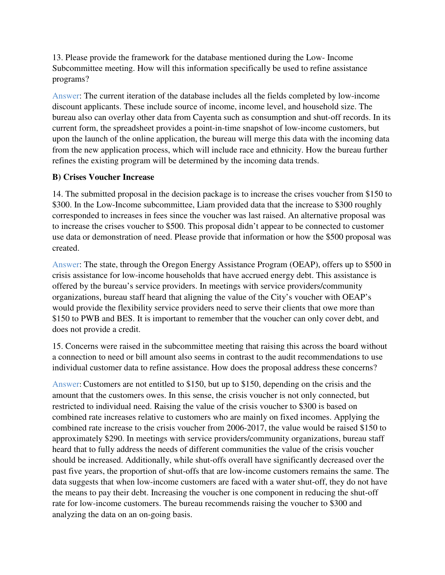13. Please provide the framework for the database mentioned during the Low- Income Subcommittee meeting. How will this information specifically be used to refine assistance programs?

Answer: The current iteration of the database includes all the fields completed by low-income discount applicants. These include source of income, income level, and household size. The bureau also can overlay other data from Cayenta such as consumption and shut-off records. In its current form, the spreadsheet provides a point-in-time snapshot of low-income customers, but upon the launch of the online application, the bureau will merge this data with the incoming data from the new application process, which will include race and ethnicity. How the bureau further refines the existing program will be determined by the incoming data trends.

## **B) Crises Voucher Increase**

14. The submitted proposal in the decision package is to increase the crises voucher from \$150 to \$300. In the Low-Income subcommittee, Liam provided data that the increase to \$300 roughly corresponded to increases in fees since the voucher was last raised. An alternative proposal was to increase the crises voucher to \$500. This proposal didn't appear to be connected to customer use data or demonstration of need. Please provide that information or how the \$500 proposal was created.

Answer: The state, through the Oregon Energy Assistance Program (OEAP), offers up to \$500 in crisis assistance for low-income households that have accrued energy debt. This assistance is offered by the bureau's service providers. In meetings with service providers/community organizations, bureau staff heard that aligning the value of the City's voucher with OEAP's would provide the flexibility service providers need to serve their clients that owe more than \$150 to PWB and BES. It is important to remember that the voucher can only cover debt, and does not provide a credit.

15. Concerns were raised in the subcommittee meeting that raising this across the board without a connection to need or bill amount also seems in contrast to the audit recommendations to use individual customer data to refine assistance. How does the proposal address these concerns?

Answer: Customers are not entitled to \$150, but up to \$150, depending on the crisis and the amount that the customers owes. In this sense, the crisis voucher is not only connected, but restricted to individual need. Raising the value of the crisis voucher to \$300 is based on combined rate increases relative to customers who are mainly on fixed incomes. Applying the combined rate increase to the crisis voucher from 2006-2017, the value would be raised \$150 to approximately \$290. In meetings with service providers/community organizations, bureau staff heard that to fully address the needs of different communities the value of the crisis voucher should be increased. Additionally, while shut-offs overall have significantly decreased over the past five years, the proportion of shut-offs that are low-income customers remains the same. The data suggests that when low-income customers are faced with a water shut-off, they do not have the means to pay their debt. Increasing the voucher is one component in reducing the shut-off rate for low-income customers. The bureau recommends raising the voucher to \$300 and analyzing the data on an on-going basis.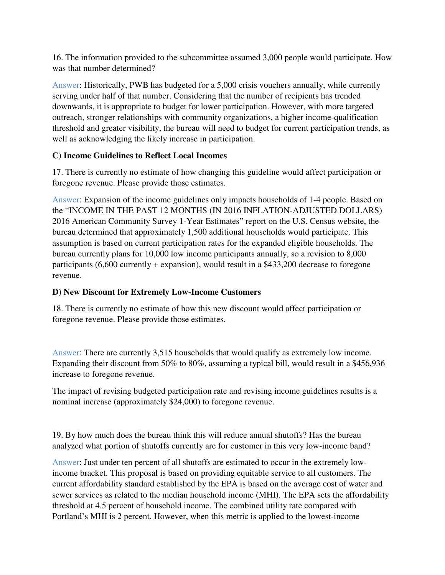16. The information provided to the subcommittee assumed 3,000 people would participate. How was that number determined?

Answer: Historically, PWB has budgeted for a 5,000 crisis vouchers annually, while currently serving under half of that number. Considering that the number of recipients has trended downwards, it is appropriate to budget for lower participation. However, with more targeted outreach, stronger relationships with community organizations, a higher income-qualification threshold and greater visibility, the bureau will need to budget for current participation trends, as well as acknowledging the likely increase in participation.

## **C) Income Guidelines to Reflect Local Incomes**

17. There is currently no estimate of how changing this guideline would affect participation or foregone revenue. Please provide those estimates.

Answer: Expansion of the income guidelines only impacts households of 1-4 people. Based on the "INCOME IN THE PAST 12 MONTHS (IN 2016 INFLATION-ADJUSTED DOLLARS) 2016 American Community Survey 1-Year Estimates" report on the U.S. Census website, the bureau determined that approximately 1,500 additional households would participate. This assumption is based on current participation rates for the expanded eligible households. The bureau currently plans for 10,000 low income participants annually, so a revision to 8,000 participants (6,600 currently + expansion), would result in a \$433,200 decrease to foregone revenue.

#### **D) New Discount for Extremely Low-Income Customers**

18. There is currently no estimate of how this new discount would affect participation or foregone revenue. Please provide those estimates.

Answer: There are currently 3,515 households that would qualify as extremely low income. Expanding their discount from 50% to 80%, assuming a typical bill, would result in a \$456,936 increase to foregone revenue.

The impact of revising budgeted participation rate and revising income guidelines results is a nominal increase (approximately \$24,000) to foregone revenue.

19. By how much does the bureau think this will reduce annual shutoffs? Has the bureau analyzed what portion of shutoffs currently are for customer in this very low-income band?

Answer: Just under ten percent of all shutoffs are estimated to occur in the extremely lowincome bracket. This proposal is based on providing equitable service to all customers. The current affordability standard established by the EPA is based on the average cost of water and sewer services as related to the median household income (MHI). The EPA sets the affordability threshold at 4.5 percent of household income. The combined utility rate compared with Portland's MHI is 2 percent. However, when this metric is applied to the lowest-income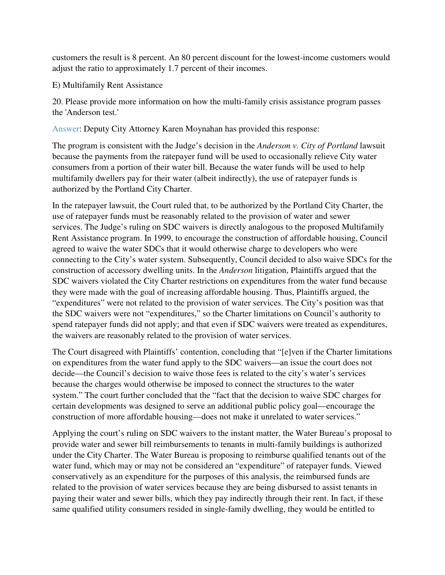customers the result is 8 percent. An 80 percent discount for the lowest-income customers would adjust the ratio to approximately 1.7 percent of their incomes.

#### E) Multifamily Rent Assistance

20. Please provide more information on how the multi-family crisis assistance program passes the 'Anderson test.'

Answer: Deputy City Attorney Karen Moynahan has provided this response:

The program is consistent with the Judge's decision in the *Anderson v. City of Portland* lawsuit because the payments from the ratepayer fund will be used to occasionally relieve City water consumers from a portion of their water bill. Because the water funds will be used to help multifamily dwellers pay for their water (albeit indirectly), the use of ratepayer funds is authorized by the Portland City Charter.

In the ratepayer lawsuit, the Court ruled that, to be authorized by the Portland City Charter, the use of ratepayer funds must be reasonably related to the provision of water and sewer services. The Judge's ruling on SDC waivers is directly analogous to the proposed Multifamily Rent Assistance program. In 1999, to encourage the construction of affordable housing, Council agreed to waive the water SDCs that it would otherwise charge to developers who were connecting to the City's water system. Subsequently, Council decided to also waive SDCs for the construction of accessory dwelling units. In the *Anderson* litigation, Plaintiffs argued that the SDC waivers violated the City Charter restrictions on expenditures from the water fund because they were made with the goal of increasing affordable housing. Thus, Plaintiffs argued, the "expenditures" were not related to the provision of water services. The City's position was that the SDC waivers were not "expenditures," so the Charter limitations on Council's authority to spend ratepayer funds did not apply; and that even if SDC waivers were treated as expenditures, the waivers are reasonably related to the provision of water services.

The Court disagreed with Plaintiffs' contention, concluding that "[e]ven if the Charter limitations on expenditures from the water fund apply to the SDC waivers—an issue the court does not decide—the Council's decision to waive those fees is related to the city's water's services because the charges would otherwise be imposed to connect the structures to the water system." The court further concluded that the "fact that the decision to waive SDC charges for certain developments was designed to serve an additional public policy goal—encourage the construction of more affordable housing—does not make it unrelated to water services."

Applying the court's ruling on SDC waivers to the instant matter, the Water Bureau's proposal to provide water and sewer bill reimbursements to tenants in multi-family buildings is authorized under the City Charter. The Water Bureau is proposing to reimburse qualified tenants out of the water fund, which may or may not be considered an "expenditure" of ratepayer funds. Viewed conservatively as an expenditure for the purposes of this analysis, the reimbursed funds are related to the provision of water services because they are being disbursed to assist tenants in paying their water and sewer bills, which they pay indirectly through their rent. In fact, if these same qualified utility consumers resided in single-family dwelling, they would be entitled to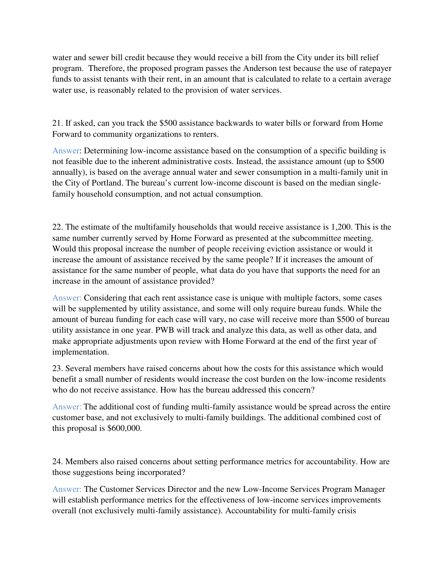water and sewer bill credit because they would receive a bill from the City under its bill relief program. Therefore, the proposed program passes the Anderson test because the use of ratepayer funds to assist tenants with their rent, in an amount that is calculated to relate to a certain average water use, is reasonably related to the provision of water services.

21. If asked, can you track the \$500 assistance backwards to water bills or forward from Home Forward to community organizations to renters.

Answer: Determining low-income assistance based on the consumption of a specific building is not feasible due to the inherent administrative costs. Instead, the assistance amount (up to \$500 annually), is based on the average annual water and sewer consumption in a multi-family unit in the City of Portland. The bureau's current low-income discount is based on the median singlefamily household consumption, and not actual consumption.

22. The estimate of the multifamily households that would receive assistance is 1,200. This is the same number currently served by Home Forward as presented at the subcommittee meeting. Would this proposal increase the number of people receiving eviction assistance or would it increase the amount of assistance received by the same people? If it increases the amount of assistance for the same number of people, what data do you have that supports the need for an increase in the amount of assistance provided?

Answer: Considering that each rent assistance case is unique with multiple factors, some cases will be supplemented by utility assistance, and some will only require bureau funds. While the amount of bureau funding for each case will vary, no case will receive more than \$500 of bureau utility assistance in one year. PWB will track and analyze this data, as well as other data, and make appropriate adjustments upon review with Home Forward at the end of the first year of implementation.

23. Several members have raised concerns about how the costs for this assistance which would benefit a small number of residents would increase the cost burden on the low-income residents who do not receive assistance. How has the bureau addressed this concern?

Answer: The additional cost of funding multi-family assistance would be spread across the entire customer base, and not exclusively to multi-family buildings. The additional combined cost of this proposal is \$600,000.

24. Members also raised concerns about setting performance metrics for accountability. How are those suggestions being incorporated?

Answer: The Customer Services Director and the new Low-Income Services Program Manager will establish performance metrics for the effectiveness of low-income services improvements overall (not exclusively multi-family assistance). Accountability for multi-family crisis